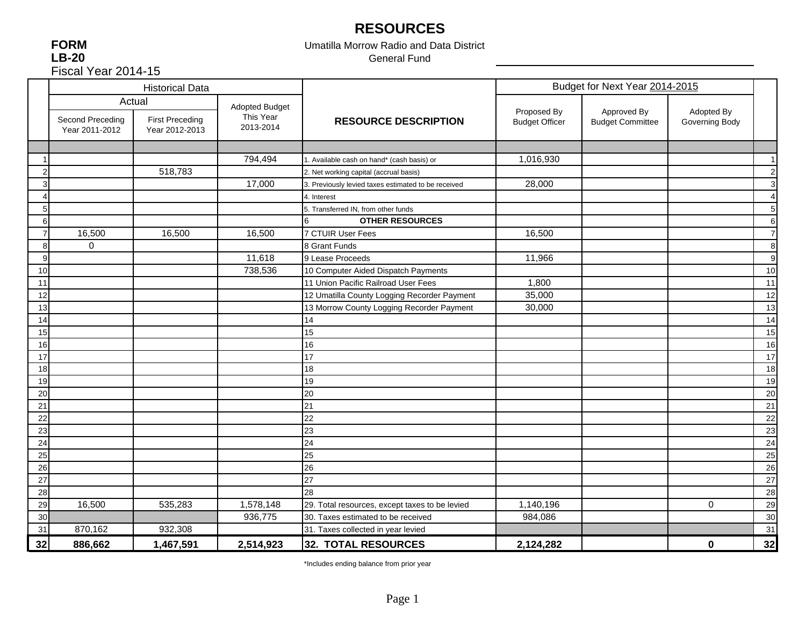# **RESOURCES**

**FORM LB-20** Fiscal Year 2014-15

### Umatilla Morrow Radio and Data District General Fund

|                  |                                    | <b>Historical Data</b>                   |                        |                                                     | Budget for Next Year 2014-2015       |                                        |                              |                |
|------------------|------------------------------------|------------------------------------------|------------------------|-----------------------------------------------------|--------------------------------------|----------------------------------------|------------------------------|----------------|
|                  | Actual                             |                                          | <b>Adopted Budget</b>  |                                                     |                                      |                                        |                              |                |
|                  | Second Preceding<br>Year 2011-2012 | <b>First Preceding</b><br>Year 2012-2013 | This Year<br>2013-2014 | <b>RESOURCE DESCRIPTION</b>                         | Proposed By<br><b>Budget Officer</b> | Approved By<br><b>Budget Committee</b> | Adopted By<br>Governing Body |                |
|                  |                                    |                                          |                        |                                                     |                                      |                                        |                              |                |
|                  |                                    |                                          | 794,494                | 1. Available cash on hand* (cash basis) or          | 1,016,930                            |                                        |                              | $\mathbf 1$    |
| $\overline{2}$   |                                    | 518,783                                  |                        | 2. Net working capital (accrual basis)              |                                      |                                        |                              | $\overline{c}$ |
| 3 <sup>1</sup>   |                                    |                                          | 17,000                 | 3. Previously levied taxes estimated to be received | 28,000                               |                                        |                              | 3              |
| 4                |                                    |                                          |                        | 4. Interest                                         |                                      |                                        |                              | $\overline{4}$ |
| 5 <sub>l</sub>   |                                    |                                          |                        | 5. Transferred IN, from other funds                 |                                      |                                        |                              | 5              |
| $6 \overline{6}$ |                                    |                                          |                        | <b>OTHER RESOURCES</b>                              |                                      |                                        |                              | 6              |
| $\overline{7}$   | 16,500                             | 16,500                                   | 16,500                 | 7 CTUIR User Fees                                   | 16,500                               |                                        |                              | 7              |
| 8                | $\Omega$                           |                                          |                        | 8 Grant Funds                                       |                                      |                                        |                              | 8              |
| 9                |                                    |                                          | 11,618                 | 9 Lease Proceeds                                    | 11,966                               |                                        |                              | 9              |
| 10               |                                    |                                          | 738,536                | 10 Computer Aided Dispatch Payments                 |                                      |                                        |                              | 10             |
| 11               |                                    |                                          |                        | 11 Union Pacific Railroad User Fees                 | 1,800                                |                                        |                              | 11             |
| 12               |                                    |                                          |                        | 12 Umatilla County Logging Recorder Payment         | 35,000                               |                                        |                              | 12             |
| 13               |                                    |                                          |                        | 13 Morrow County Logging Recorder Payment           | 30,000                               |                                        |                              | 13             |
| 14               |                                    |                                          |                        | 14                                                  |                                      |                                        |                              | 14             |
| 15               |                                    |                                          |                        | 15                                                  |                                      |                                        |                              | 15             |
| 16               |                                    |                                          |                        | 16                                                  |                                      |                                        |                              | 16             |
| 17               |                                    |                                          |                        | 17                                                  |                                      |                                        |                              | 17             |
| 18               |                                    |                                          |                        | 18                                                  |                                      |                                        |                              | 18             |
| 19               |                                    |                                          |                        | 19                                                  |                                      |                                        |                              | 19             |
| 20               |                                    |                                          |                        | 20                                                  |                                      |                                        |                              | 20             |
| 21               |                                    |                                          |                        | 21                                                  |                                      |                                        |                              | 21             |
| 22               |                                    |                                          |                        | 22                                                  |                                      |                                        |                              | 22             |
| 23               |                                    |                                          |                        | 23                                                  |                                      |                                        |                              | 23             |
| 24               |                                    |                                          |                        | 24                                                  |                                      |                                        |                              | 24             |
| 25               |                                    |                                          |                        | 25                                                  |                                      |                                        |                              | 25             |
| 26               |                                    |                                          |                        | 26                                                  |                                      |                                        |                              | 26             |
| 27               |                                    |                                          |                        | 27                                                  |                                      |                                        |                              | 27             |
| 28               |                                    |                                          |                        | 28                                                  |                                      |                                        |                              | 28             |
| 29               | 16,500                             | 535,283                                  | 1,578,148              | 29. Total resources, except taxes to be levied      | 1,140,196                            |                                        | $\mathbf 0$                  | 29             |
| 30 <sup>l</sup>  |                                    |                                          | 936,775                | 30. Taxes estimated to be received                  | 984,086                              |                                        |                              | 30             |
| 31               | 870,162                            | 932,308                                  |                        | 31. Taxes collected in year levied                  |                                      |                                        |                              | 31             |
| 32               | 886,662                            | 1,467,591                                | 2,514,923              | 32. TOTAL RESOURCES                                 | 2,124,282                            |                                        | 0                            | 32             |

\*Includes ending balance from prior year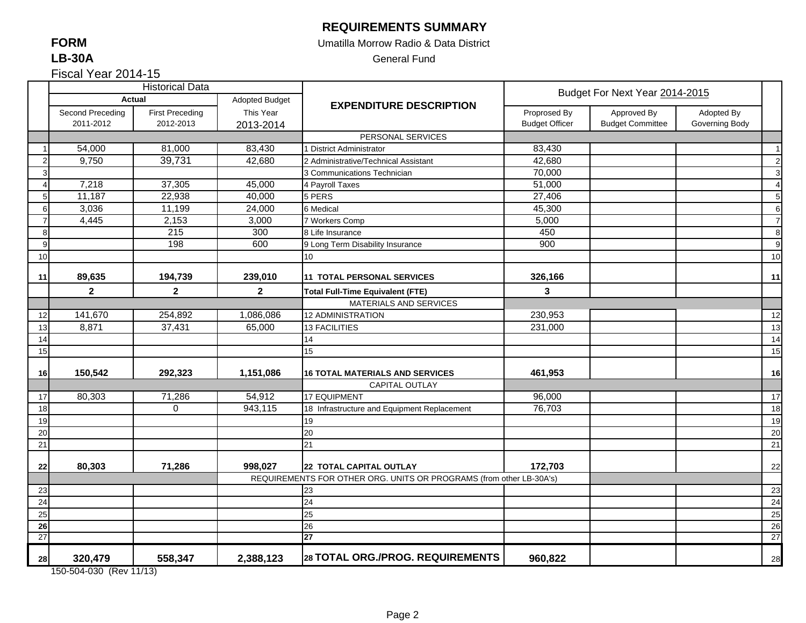### **REQUIREMENTS SUMMARY**

### Umatilla Morrow Radio & Data District

General Fund

Fiscal Year 2014-15

|    |                                                                                                                        | <b>Historical Data</b> |                |                                                                     |                       | Budget For Next Year 2014-2015 |                |                  |
|----|------------------------------------------------------------------------------------------------------------------------|------------------------|----------------|---------------------------------------------------------------------|-----------------------|--------------------------------|----------------|------------------|
|    |                                                                                                                        | <b>Actual</b>          | Adopted Budget | <b>EXPENDITURE DESCRIPTION</b>                                      |                       |                                |                |                  |
|    | Second Preceding                                                                                                       | <b>First Preceding</b> | This Year      |                                                                     | Proprosed By          | Approved By                    | Adopted By     |                  |
|    | 2011-2012                                                                                                              | 2012-2013              | 2013-2014      |                                                                     | <b>Budget Officer</b> | <b>Budget Committee</b>        | Governing Body |                  |
|    |                                                                                                                        |                        |                | PERSONAL SERVICES                                                   |                       |                                |                |                  |
|    | 54,000                                                                                                                 | 81,000                 | 83,430         | 1 District Administrator                                            | 83,430                |                                |                | $\overline{1}$   |
|    | 9,750                                                                                                                  | 39,731                 | 42,680         | 2 Administrative/Technical Assistant                                | 42,680                |                                |                | $\overline{2}$   |
| 3  |                                                                                                                        |                        |                | 3 Communications Technician                                         | 70,000                |                                |                | $\mathbf{3}$     |
|    | 7,218                                                                                                                  | 37,305                 | 45,000         | 4 Payroll Taxes                                                     | 51,000                |                                |                | $\overline{4}$   |
| 5  | 11,187                                                                                                                 | 22,938                 | 40,000         | 5 PERS                                                              | 27,406                |                                |                | $5\overline{5}$  |
| 6  | 3,036                                                                                                                  | 11,199                 | 24,000         | 6 Medical                                                           | 45,300                |                                |                | 6                |
|    | 4,445                                                                                                                  | 2,153                  | 3,000          | 7 Workers Comp                                                      | 5,000                 |                                |                | $\overline{7}$   |
| 8  |                                                                                                                        | 215                    | 300            | 8 Life Insurance                                                    | 450                   |                                |                | $\boldsymbol{8}$ |
| 9  |                                                                                                                        | 198                    | 600            | 9 Long Term Disability Insurance                                    | 900                   |                                |                | $\overline{9}$   |
| 10 |                                                                                                                        |                        |                | 10 <sup>°</sup>                                                     |                       |                                |                | 10               |
|    |                                                                                                                        |                        |                |                                                                     |                       |                                |                |                  |
| 11 | 89,635                                                                                                                 | 194,739                | 239,010        | 11 TOTAL PERSONAL SERVICES                                          | 326,166               |                                |                | 11               |
|    | $\mathbf{2}$                                                                                                           | $\mathbf{2}$           | $\mathbf{2}$   | <b>Total Full-Time Equivalent (FTE)</b>                             | 3                     |                                |                |                  |
|    |                                                                                                                        |                        |                | MATERIALS AND SERVICES                                              |                       |                                |                |                  |
| 12 | 141,670                                                                                                                | 254,892                | 1,086,086      | <b>12 ADMINISTRATION</b>                                            | 230,953               |                                |                | 12               |
| 13 | 8,871                                                                                                                  | 37,431                 | 65,000         | <b>13 FACILITIES</b>                                                | 231,000               |                                |                | 13               |
| 14 |                                                                                                                        |                        |                | 14                                                                  |                       |                                |                | 14               |
| 15 |                                                                                                                        |                        |                | 15                                                                  |                       |                                |                | 15               |
|    |                                                                                                                        |                        |                |                                                                     |                       |                                |                |                  |
| 16 | 150,542                                                                                                                | 292,323                | 1,151,086      | <b>16 TOTAL MATERIALS AND SERVICES</b>                              | 461,953               |                                |                | 16               |
|    |                                                                                                                        |                        |                | CAPITAL OUTLAY                                                      |                       |                                |                |                  |
| 17 | 80,303                                                                                                                 | 71,286                 | 54,912         | <b>17 EQUIPMENT</b>                                                 | 96,000                |                                |                | 17               |
| 18 |                                                                                                                        | 0                      | 943,115        | 18 Infrastructure and Equipment Replacement                         | 76,703                |                                |                | 18               |
| 19 |                                                                                                                        |                        |                | 19                                                                  |                       |                                |                | 19               |
| 20 |                                                                                                                        |                        |                | 20                                                                  |                       |                                |                | 20               |
| 21 |                                                                                                                        |                        |                | 21                                                                  |                       |                                |                | 21               |
| 22 | 80,303                                                                                                                 | 71,286                 | 998,027        | <b>22 TOTAL CAPITAL OUTLAY</b>                                      | 172,703               |                                |                | 22               |
|    |                                                                                                                        |                        |                | REQUIREMENTS FOR OTHER ORG. UNITS OR PROGRAMS (from other LB-30A's) |                       |                                |                |                  |
| 23 |                                                                                                                        |                        |                | 23                                                                  |                       |                                |                | 23               |
| 24 |                                                                                                                        |                        |                | 24                                                                  |                       |                                |                | 24               |
| 25 |                                                                                                                        |                        |                | 25                                                                  |                       |                                |                | 25               |
| 26 |                                                                                                                        |                        |                | 26                                                                  |                       |                                |                | 26               |
| 27 |                                                                                                                        |                        |                | 27                                                                  |                       |                                |                | 27               |
|    |                                                                                                                        |                        |                |                                                                     |                       |                                |                |                  |
| 28 | 320,479<br>$T_{0}$ $T_{0}$ $A$ $T_{0}$ $T_{0}$ $T_{0}$ $T_{0}$ $T_{0}$ $T_{1}$ $T_{0}$ $T_{1}$ $T_{1}$ $T_{1}$ $T_{1}$ | 558,347                | 2,388,123      | 28 TOTAL ORG./PROG. REQUIREMENTS                                    | 960,822               |                                |                | 28               |

150-504-030 (Rev 11/13)

### **FORMLB-30A**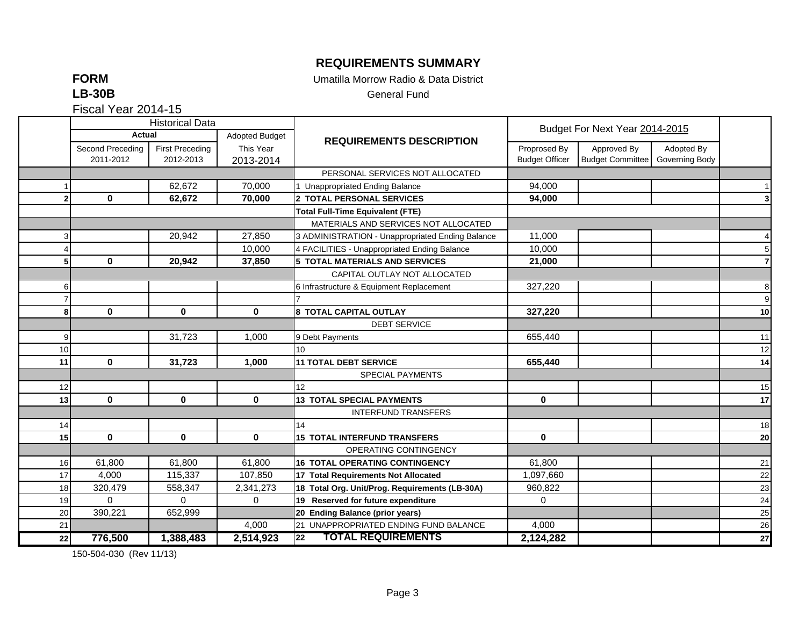## **REQUIREMENTS SUMMARY**

**FORM**

Umatilla Morrow Radio & Data District

**LB-30B**

General Fund

Fiscal Year 2014-15

|    | <b>Historical Data</b> |                        |                |                                                  |                       |                                |                |                  |
|----|------------------------|------------------------|----------------|--------------------------------------------------|-----------------------|--------------------------------|----------------|------------------|
|    | Actual                 |                        | Adopted Budget | <b>REQUIREMENTS DESCRIPTION</b>                  |                       | Budget For Next Year 2014-2015 |                |                  |
|    | Second Preceding       | <b>First Preceding</b> | This Year      |                                                  | Proprosed By          | Approved By                    | Adopted By     |                  |
|    | 2011-2012              | 2012-2013              | 2013-2014      |                                                  | <b>Budget Officer</b> | <b>Budget Committee</b>        | Governing Body |                  |
|    |                        |                        |                | PERSONAL SERVICES NOT ALLOCATED                  |                       |                                |                |                  |
|    |                        | 62,672                 | 70,000         | 1 Unappropriated Ending Balance                  | 94,000                |                                |                |                  |
|    | $\mathbf 0$            | 62,672                 | 70,000         | 2 TOTAL PERSONAL SERVICES                        | 94,000                |                                |                | 3                |
|    |                        |                        |                | <b>Total Full-Time Equivalent (FTE)</b>          |                       |                                |                |                  |
|    |                        |                        |                | MATERIALS AND SERVICES NOT ALLOCATED             |                       |                                |                |                  |
|    |                        | 20,942                 | 27,850         | 3 ADMINISTRATION - Unappropriated Ending Balance | 11,000                |                                |                | $\overline{4}$   |
|    |                        |                        | 10,000         | 4 FACILITIES - Unappropriated Ending Balance     | 10,000                |                                |                | 5                |
|    | $\mathbf 0$            | 20,942                 | 37,850         | <b>5 TOTAL MATERIALS AND SERVICES</b>            | 21,000                |                                |                | $\overline{7}$   |
|    |                        |                        |                | CAPITAL OUTLAY NOT ALLOCATED                     |                       |                                |                |                  |
| 61 |                        |                        |                | 6 Infrastructure & Equipment Replacement         | 327,220               |                                |                | 8                |
|    |                        |                        |                |                                                  |                       |                                |                | $\boldsymbol{9}$ |
| 81 | $\mathbf 0$            | $\mathbf 0$            | 0              | 8 TOTAL CAPITAL OUTLAY                           | 327,220               |                                |                | 10               |
|    |                        |                        |                | <b>DEBT SERVICE</b>                              |                       |                                |                |                  |
| 9  |                        | 31,723                 | 1,000          | 9 Debt Payments                                  | 655,440               |                                |                | 11               |
| 10 |                        |                        |                | 10 <sup>10</sup>                                 |                       |                                |                | 12               |
| 11 | $\mathbf 0$            | 31,723                 | 1,000          | <b>11 TOTAL DEBT SERVICE</b>                     | 655,440               |                                |                | 14               |
|    |                        |                        |                | SPECIAL PAYMENTS                                 |                       |                                |                |                  |
| 12 |                        |                        |                | 12                                               |                       |                                |                | 15               |
| 13 | $\bf{0}$               | $\mathbf 0$            | $\mathbf{0}$   | <b>13 TOTAL SPECIAL PAYMENTS</b>                 | $\mathbf{0}$          |                                |                | 17               |
|    |                        |                        |                | <b>INTERFUND TRANSFERS</b>                       |                       |                                |                |                  |
| 14 |                        |                        |                | 14                                               |                       |                                |                | 18               |
| 15 | $\mathbf 0$            | $\mathbf 0$            | $\mathbf 0$    | <b>15 TOTAL INTERFUND TRANSFERS</b>              | $\mathbf 0$           |                                |                | ${\bf 20}$       |
|    |                        |                        |                | OPERATING CONTINGENCY                            |                       |                                |                |                  |
| 16 | 61,800                 | 61,800                 | 61,800         | <b>16 TOTAL OPERATING CONTINGENCY</b>            | 61,800                |                                |                | 21               |
| 17 | 4.000                  | 115,337                | 107,850        | 17 Total Requirements Not Allocated              | 1,097,660             |                                |                | 22               |
| 18 | 320,479                | 558,347                | 2,341,273      | 18 Total Org. Unit/Prog. Requirements (LB-30A)   | 960,822               |                                |                | 23               |
| 19 | $\Omega$               | 0                      | $\mathbf 0$    | 19 Reserved for future expenditure               | 0                     |                                |                | 24               |
| 20 | 390,221                | 652,999                |                | 20 Ending Balance (prior years)                  |                       |                                |                | 25               |
| 21 |                        |                        | 4,000          | 21 UNAPPROPRIATED ENDING FUND BALANCE            | 4,000                 |                                |                | 26               |
| 22 | 776,500                | 1,388,483              | 2,514,923      | <b>TOTAL REQUIREMENTS</b><br>22                  | 2,124,282             |                                |                | $\overline{27}$  |

150-504-030 (Rev 11/13)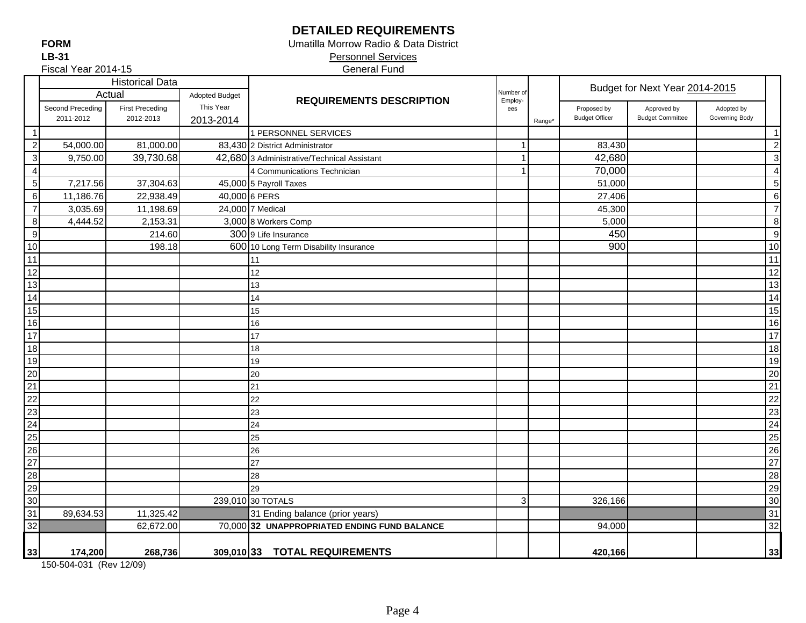## **DETAILED REQUIREMENTS**

Umatilla Morrow Radio & Data District

 Personnel Services General Fund

Fiscal Year 2014-15

|                                 |                  | <b>Historical Data</b> |                       |                                              |                      |        |                       | Budget for Next Year 2014-2015 |                |    |
|---------------------------------|------------------|------------------------|-----------------------|----------------------------------------------|----------------------|--------|-----------------------|--------------------------------|----------------|----|
|                                 |                  | Actual                 | <b>Adopted Budget</b> | <b>REQUIREMENTS DESCRIPTION</b>              | Number of<br>Employ- |        |                       |                                |                |    |
|                                 | Second Preceding | <b>First Preceding</b> | This Year             |                                              | ees                  |        | Proposed by           | Approved by                    | Adopted by     |    |
|                                 | 2011-2012        | 2012-2013              | 2013-2014             |                                              |                      | Range* | <b>Budget Officer</b> | <b>Budget Committee</b>        | Governing Body |    |
| $\overline{1}$                  |                  |                        |                       | 1 PERSONNEL SERVICES                         |                      |        |                       |                                |                | -1 |
| $\overline{2}$                  | 54,000.00        | 81,000.00              |                       | 83,430 2 District Administrator              | 1                    |        | 83,430                |                                |                | 2  |
| $\overline{3}$                  | 9,750.00         | 39,730.68              |                       | 42,680 3 Administrative/Technical Assistant  | -1                   |        | 42,680                |                                |                | 3  |
| $\overline{\mathbf{4}}$         |                  |                        |                       | 4 Communications Technician                  | 1                    |        | 70,000                |                                |                | 4  |
| $\sqrt{5}$                      | 7,217.56         | 37,304.63              |                       | 45,000 5 Payroll Taxes                       |                      |        | 51,000                |                                |                | 5  |
| $\overline{6}$                  | 11,186.76        | 22,938.49              |                       | 40,000 6 PERS                                |                      |        | 27,406                |                                |                | 6  |
| $\overline{7}$                  | 3,035.69         | 11,198.69              |                       | 24,000 7 Medical                             |                      |        | 45,300                |                                |                | 7  |
| $\,8\,$                         | 4,444.52         | 2,153.31               |                       | 3,000 8 Workers Comp                         |                      |        | 5,000                 |                                |                | 8  |
| $\overline{9}$                  |                  | 214.60                 |                       | 300 9 Life Insurance                         |                      |        | 450                   |                                |                | g  |
|                                 |                  | 198.18                 |                       | 600 10 Long Term Disability Insurance        |                      |        | 900                   |                                |                | 10 |
|                                 |                  |                        |                       | 11                                           |                      |        |                       |                                |                | 11 |
| $\frac{10}{11}$ $\frac{12}{12}$ |                  |                        |                       | 12                                           |                      |        |                       |                                |                | 12 |
| $\overline{13}$                 |                  |                        |                       | 13                                           |                      |        |                       |                                |                | 13 |
| 14                              |                  |                        |                       | 14                                           |                      |        |                       |                                |                | 14 |
| 15                              |                  |                        |                       | 15                                           |                      |        |                       |                                |                | 15 |
| 16                              |                  |                        |                       | 16                                           |                      |        |                       |                                |                | 16 |
| $\overline{17}$                 |                  |                        |                       | 17                                           |                      |        |                       |                                |                | 17 |
| $\overline{18}$                 |                  |                        |                       | 18                                           |                      |        |                       |                                |                | 18 |
| $\overline{19}$                 |                  |                        |                       | 19                                           |                      |        |                       |                                |                | 19 |
| $\overline{20}$                 |                  |                        |                       | 20                                           |                      |        |                       |                                |                | 20 |
| $\overline{21}$                 |                  |                        |                       | 21                                           |                      |        |                       |                                |                | 21 |
| $\overline{22}$                 |                  |                        |                       | 22                                           |                      |        |                       |                                |                | 22 |
| $\overline{23}$                 |                  |                        |                       | 23                                           |                      |        |                       |                                |                | 23 |
| 24                              |                  |                        |                       | 24                                           |                      |        |                       |                                |                | 24 |
| 25                              |                  |                        |                       | 25                                           |                      |        |                       |                                |                | 25 |
| 26                              |                  |                        |                       | 26                                           |                      |        |                       |                                |                | 26 |
| 27                              |                  |                        |                       | 27                                           |                      |        |                       |                                |                | 27 |
| 28                              |                  |                        |                       | 28                                           |                      |        |                       |                                |                | 28 |
| 29                              |                  |                        |                       | 29                                           |                      |        |                       |                                |                | 29 |
| 30                              |                  |                        |                       | 239,010 30 TOTALS                            | $\mathbf{3}$         |        | 326,166               |                                |                | 30 |
| 31                              | 89,634.53        | 11,325.42              |                       | 31 Ending balance (prior years)              |                      |        |                       |                                |                | 31 |
| $\frac{32}{2}$                  |                  | 62,672.00              |                       | 70,000 32 UNAPPROPRIATED ENDING FUND BALANCE |                      |        | 94,000                |                                |                | 32 |
|                                 | 174,200          | 268,736                |                       | 309,010 33 TOTAL REQUIREMENTS                |                      |        | 420,166               |                                |                | 33 |
| 33                              |                  |                        |                       |                                              |                      |        |                       |                                |                |    |

150-504-031 (Rev 12/09)

**FORMLB-31**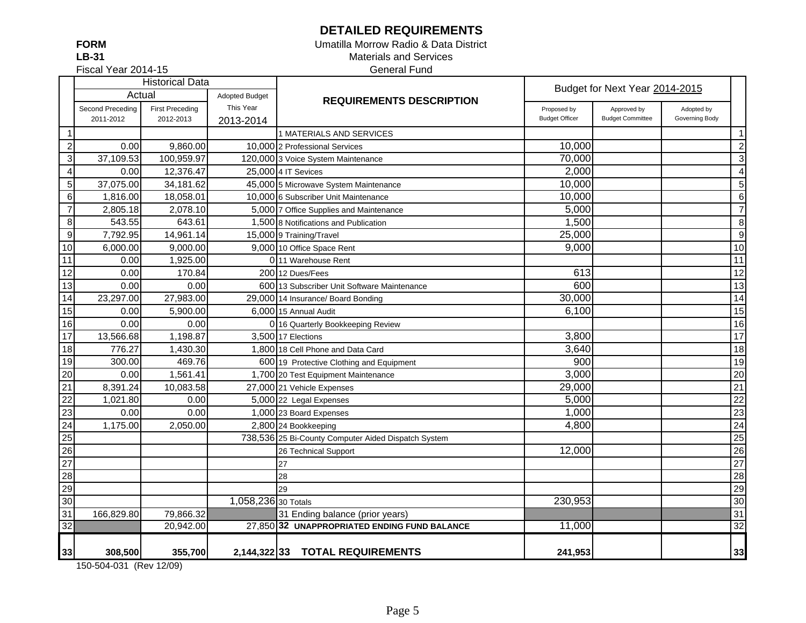## **DETAILED REQUIREMENTS**

**FORMLB-31**

### Umatilla Morrow Radio & Data District Materials and Services General Fund

Fiscal Year 2014-15

|                 | <b>Historical Data</b> |                        |                       |                                                     | Budget for Next Year 2014-2015 |                         |                |                  |
|-----------------|------------------------|------------------------|-----------------------|-----------------------------------------------------|--------------------------------|-------------------------|----------------|------------------|
|                 | Actual                 |                        | <b>Adopted Budget</b> | <b>REQUIREMENTS DESCRIPTION</b>                     |                                |                         |                |                  |
|                 | Second Preceding       | <b>First Preceding</b> | This Year             |                                                     | Proposed by                    | Approved by             | Adopted by     |                  |
|                 | 2011-2012              | 2012-2013              | 2013-2014             |                                                     | <b>Budget Officer</b>          | <b>Budget Committee</b> | Governing Body |                  |
| $\mathbf{1}$    |                        |                        |                       | 1 MATERIALS AND SERVICES                            |                                |                         |                | $\vert$ 1        |
| $\overline{c}$  | 0.00                   | 9,860.00               |                       | 10.000 2 Professional Services                      | 10,000                         |                         |                | $\mathbf{2}$     |
| $\mathbf{3}$    | 37,109.53              | 100,959.97             |                       | 120,000 3 Voice System Maintenance                  | 70,000                         |                         |                | $\overline{3}$   |
| $\overline{4}$  | 0.00                   | 12,376.47              |                       | 25,000 4 IT Sevices                                 | 2,000                          |                         |                | $\overline{4}$   |
| $\sqrt{5}$      | 37,075.00              | 34,181.62              |                       | 45,000 5 Microwave System Maintenance               | 10,000                         |                         |                | 5 <sup>1</sup>   |
| $\,6\,$         | 1,816.00               | 18,058.01              |                       | 10,000 6 Subscriber Unit Maintenance                | 10,000                         |                         |                | $6 \overline{6}$ |
| $\overline{7}$  | 2,805.18               | 2,078.10               |                       | 5,000 7 Office Supplies and Maintenance             | 5,000                          |                         |                | $\overline{7}$   |
| $\bf8$          | 543.55                 | 643.61                 |                       | 1,500 8 Notifications and Publication               | 1,500                          |                         |                | 8                |
| $\overline{9}$  | 7,792.95               | 14,961.14              |                       | 15,000 9 Training/Travel                            | 25,000                         |                         |                | $\overline{9}$   |
| 10              | 6,000.00               | 9,000.00               |                       | 9,000 10 Office Space Rent                          | 9,000                          |                         |                | 10               |
| $\overline{11}$ | 0.00                   | 1,925.00               |                       | 0 11 Warehouse Rent                                 |                                |                         |                | $\overline{11}$  |
| $\overline{12}$ | 0.00                   | 170.84                 |                       | 200112 Dues/Fees                                    | 613                            |                         |                | 12               |
| $\overline{13}$ | 0.00                   | 0.00                   |                       | 600113 Subscriber Unit Software Maintenance         | 600                            |                         |                | 13               |
| $\overline{14}$ | 23,297.00              | 27,983.00              |                       | 29,000 14 Insurance/ Board Bonding                  | 30,000                         |                         |                | $\overline{14}$  |
| 15              | 0.00                   | 5,900.00               |                       | 6,000 15 Annual Audit                               | 6,100                          |                         |                | 15               |
| 16              | 0.00                   | 0.00                   |                       | 0 16 Quarterly Bookkeeping Review                   |                                |                         |                | 16               |
| 17              | 13,566.68              | 1,198.87               |                       | 3,500 17 Elections                                  | 3,800                          |                         |                | 17               |
| 18              | 776.27                 | 1,430.30               |                       | 1,800 18 Cell Phone and Data Card                   | 3,640                          |                         |                | 18               |
| 19              | 300.00                 | 469.76                 |                       | 600 19 Protective Clothing and Equipment            | 900                            |                         |                | 19               |
| 20              | 0.00                   | 1,561.41               |                       | 1,700 20 Test Equipment Maintenance                 | 3,000                          |                         |                | 20               |
| 21              | 8,391.24               | 10,083.58              |                       | 27,000 21 Vehicle Expenses                          | 29,000                         |                         |                | $\overline{21}$  |
| 22              | 1,021.80               | 0.00                   |                       | 5,000 22 Legal Expenses                             | 5,000                          |                         |                | 22               |
| 23              | 0.00                   | 0.00                   |                       | 1,000 23 Board Expenses                             | 1,000                          |                         |                | 23               |
| 24              | 1,175.00               | 2,050.00               |                       | 2,800 24 Bookkeeping                                | 4,800                          |                         |                | $\overline{24}$  |
| 25              |                        |                        |                       | 738,536 25 Bi-County Computer Aided Dispatch System |                                |                         |                | 25               |
| 26              |                        |                        |                       | 26 Technical Support                                | 12,000                         |                         |                | $\overline{26}$  |
| 27              |                        |                        |                       | 27                                                  |                                |                         |                | $\overline{27}$  |
| 28              |                        |                        |                       | 28                                                  |                                |                         |                | 28               |
| 29              |                        |                        |                       | 29                                                  |                                |                         |                | 29               |
| 30              |                        |                        | 1,058,236 30 Totals   |                                                     | 230,953                        |                         |                | 30               |
| $\overline{31}$ | 166,829.80             | 79,866.32              |                       | 31 Ending balance (prior years)                     |                                |                         |                | 31               |
| 32              |                        | 20,942.00              |                       | 27.850 32 UNAPPROPRIATED ENDING FUND BALANCE        | 11,000                         |                         |                | 32               |
|                 |                        |                        |                       |                                                     |                                |                         |                |                  |
| 33              | 308,500                | 355,700                |                       | 2,144,322 33 TOTAL REQUIREMENTS                     | 241,953                        |                         |                | 33               |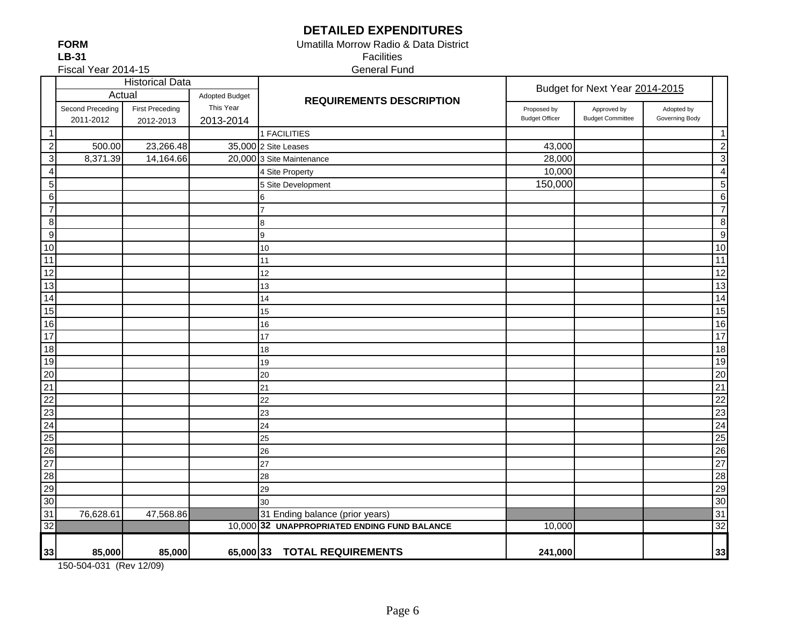# **DETAILED EXPENDITURES**

Umatilla Morrow Radio & Data District

**FORMLB-31**

Facilities

Fiscal Year 2014-15

General Fund

|                  |                  | <b>Historical Data</b> |                |                                              | Budget for Next Year 2014-2015 |                         |                |                  |
|------------------|------------------|------------------------|----------------|----------------------------------------------|--------------------------------|-------------------------|----------------|------------------|
|                  | Actual           |                        | Adopted Budget | <b>REQUIREMENTS DESCRIPTION</b>              |                                |                         |                |                  |
|                  | Second Preceding | <b>First Preceding</b> | This Year      |                                              | Proposed by                    | Approved by             | Adopted by     |                  |
|                  | 2011-2012        | 2012-2013              | 2013-2014      |                                              | <b>Budget Officer</b>          | <b>Budget Committee</b> | Governing Body |                  |
|                  |                  |                        |                | 1 FACILITIES                                 |                                |                         |                | $\mathbf 1$      |
| $\overline{2}$   | 500.00           | 23,266.48              |                | 35,000 2 Site Leases                         | 43,000                         |                         |                | $\boldsymbol{2}$ |
| $\mathbf{3}$     | 8,371.39         | 14,164.66              |                | 20,000 3 Site Maintenance                    | 28,000                         |                         |                | 3                |
| $\overline{4}$   |                  |                        |                | 4 Site Property                              | 10,000                         |                         |                | 4                |
| $\sqrt{5}$       |                  |                        |                | 5 Site Development                           | 150,000                        |                         |                | 5                |
| $\,6$            |                  |                        |                | 6                                            |                                |                         |                | $\overline{6}$   |
| $\overline{7}$   |                  |                        |                |                                              |                                |                         |                | $\overline{7}$   |
| $\, 8$           |                  |                        |                | 8                                            |                                |                         |                | $\bf 8$          |
| $\boldsymbol{9}$ |                  |                        |                | 9                                            |                                |                         |                | $\overline{9}$   |
| $10$             |                  |                        |                | 10                                           |                                |                         |                | 10               |
| 11               |                  |                        |                | 11                                           |                                |                         |                | $\overline{11}$  |
| 12               |                  |                        |                | 12                                           |                                |                         |                | $\overline{12}$  |
| 13               |                  |                        |                | 13                                           |                                |                         |                | 13               |
| 14               |                  |                        |                | 14                                           |                                |                         |                | $\overline{14}$  |
| 15               |                  |                        |                | 15                                           |                                |                         |                | 15               |
| 16               |                  |                        |                | 16                                           |                                |                         |                | 16               |
| $\overline{17}$  |                  |                        |                | 17                                           |                                |                         |                | 17               |
| 18               |                  |                        |                | 18                                           |                                |                         |                | $\overline{18}$  |
| 19               |                  |                        |                | 19                                           |                                |                         |                | 19               |
| $\overline{20}$  |                  |                        |                | 20                                           |                                |                         |                | $\overline{20}$  |
| 21               |                  |                        |                | 21                                           |                                |                         |                | $\overline{21}$  |
| $\overline{22}$  |                  |                        |                | 22                                           |                                |                         |                | $\overline{22}$  |
| 23               |                  |                        |                | 23                                           |                                |                         |                | 23               |
| $\overline{24}$  |                  |                        |                | 24                                           |                                |                         |                | $\overline{24}$  |
| 25               |                  |                        |                | 25                                           |                                |                         |                | $\overline{25}$  |
| 26               |                  |                        |                | 26                                           |                                |                         |                | 26               |
| 27               |                  |                        |                | 27                                           |                                |                         |                | $\overline{27}$  |
| 28               |                  |                        |                | 28                                           |                                |                         |                | 28               |
| 29               |                  |                        |                | 29                                           |                                |                         |                | 29               |
| 30               |                  |                        |                | 30                                           |                                |                         |                | 30               |
| 31               | 76,628.61        | 47,568.86              |                | 31 Ending balance (prior years)              |                                |                         |                | 31               |
| 32               |                  |                        |                | 10,000 32 UNAPPROPRIATED ENDING FUND BALANCE | 10,000                         |                         |                | 32               |
|                  |                  |                        |                |                                              |                                |                         |                |                  |
| 33               | 85,000           | 85,000                 |                | 65,000 33 TOTAL REQUIREMENTS                 | 241,000                        |                         |                | 33               |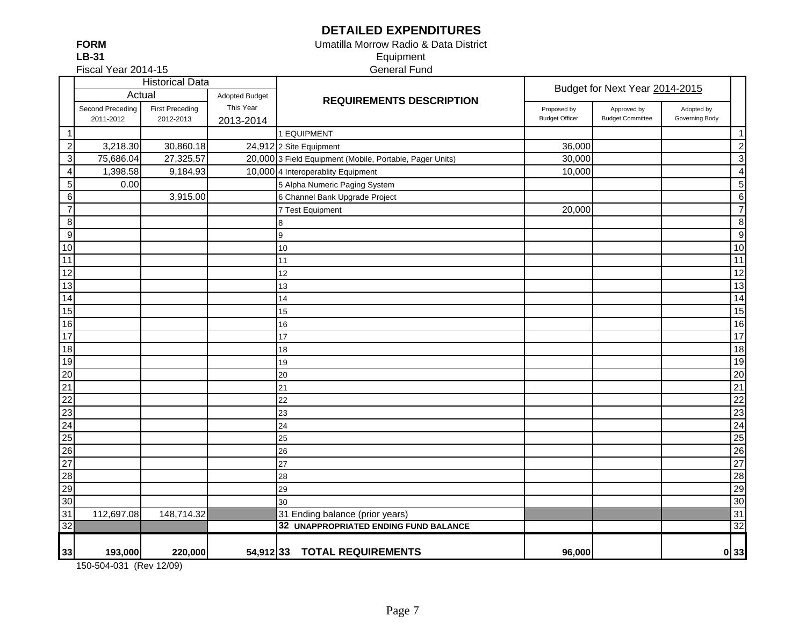## **DETAILED EXPENDITURES**

**FORMLB-31**

### Umatilla Morrow Radio & Data District Equipment General Fund

Fiscal Year 2014-15

|                                                                    |                  | <b>Historical Data</b> |                       |                                                          |                       | Budget for Next Year 2014-2015 |                |                  |
|--------------------------------------------------------------------|------------------|------------------------|-----------------------|----------------------------------------------------------|-----------------------|--------------------------------|----------------|------------------|
|                                                                    | Actual           |                        | <b>Adopted Budget</b> | <b>REQUIREMENTS DESCRIPTION</b>                          |                       |                                |                |                  |
|                                                                    | Second Preceding | <b>First Preceding</b> | This Year             |                                                          | Proposed by           | Approved by                    | Adopted by     |                  |
|                                                                    | 2011-2012        | 2012-2013              | 2013-2014             |                                                          | <b>Budget Officer</b> | <b>Budget Committee</b>        | Governing Body |                  |
| -1                                                                 |                  |                        |                       | 1 EQUIPMENT                                              |                       |                                |                | $\mathbf{1}$     |
| $\overline{c}$                                                     | 3,218.30         | 30,860.18              |                       | 24,912 2 Site Equipment                                  | 36,000                |                                |                | $\overline{c}$   |
| $\ensuremath{\mathsf{3}}$                                          | 75,686.04        | 27,325.57              |                       | 20,000 3 Field Equipment (Mobile, Portable, Pager Units) | 30,000                |                                |                | $\mathbf{3}$     |
| 4                                                                  | 1,398.58         | 9,184.93               |                       | 10,000 4 Interoperablity Equipment                       | 10,000                |                                |                | $\overline{4}$   |
| $\mathbf 5$                                                        | 0.00             |                        |                       | 5 Alpha Numeric Paging System                            |                       |                                |                | 5                |
| $\,6$                                                              |                  | 3,915.00               |                       | 6 Channel Bank Upgrade Project                           |                       |                                |                | $\,6$            |
| $\overline{7}$                                                     |                  |                        |                       | 7 Test Equipment                                         | 20,000                |                                |                | $\overline{7}$   |
| $\bf 8$                                                            |                  |                        |                       | 8                                                        |                       |                                |                | $\bf 8$          |
| $\boldsymbol{9}$                                                   |                  |                        |                       | 9                                                        |                       |                                |                | $\boldsymbol{9}$ |
| 10                                                                 |                  |                        |                       | 10                                                       |                       |                                |                | 10               |
| 11                                                                 |                  |                        |                       | 11                                                       |                       |                                |                | 11               |
| 12                                                                 |                  |                        |                       | 12                                                       |                       |                                |                | $\overline{12}$  |
| 13                                                                 |                  |                        |                       | 13                                                       |                       |                                |                | 13               |
| 14                                                                 |                  |                        |                       | 14                                                       |                       |                                |                | 14               |
| 15                                                                 |                  |                        |                       | 15                                                       |                       |                                |                | 15               |
| 16                                                                 |                  |                        |                       | 16                                                       |                       |                                |                | 16               |
| 17                                                                 |                  |                        |                       | 17                                                       |                       |                                |                | $\overline{17}$  |
| 18                                                                 |                  |                        |                       | 18                                                       |                       |                                |                | 18               |
| 19                                                                 |                  |                        |                       | 19                                                       |                       |                                |                | 19               |
| $\frac{20}{21}$                                                    |                  |                        |                       | 20                                                       |                       |                                |                | $\overline{20}$  |
|                                                                    |                  |                        |                       | 21                                                       |                       |                                |                | $\overline{21}$  |
| 22                                                                 |                  |                        |                       | 22                                                       |                       |                                |                | $\overline{22}$  |
|                                                                    |                  |                        |                       | 23                                                       |                       |                                |                | 23               |
| $\frac{23}{24}$                                                    |                  |                        |                       | 24                                                       |                       |                                |                | $\overline{24}$  |
| 25                                                                 |                  |                        |                       | 25                                                       |                       |                                |                | $\overline{25}$  |
| 26                                                                 |                  |                        |                       | 26                                                       |                       |                                |                | 26               |
|                                                                    |                  |                        |                       | 27                                                       |                       |                                |                | 27               |
|                                                                    |                  |                        |                       | 28                                                       |                       |                                |                | 28               |
|                                                                    |                  |                        |                       | 29                                                       |                       |                                |                | 29               |
| $\begin{array}{r} 27 \\ 28 \\ 29 \\ 30 \\ 31 \\ 32 \\ \end{array}$ |                  |                        |                       | 30                                                       |                       |                                |                | 30               |
|                                                                    | 112,697.08       | 148,714.32             |                       | 31 Ending balance (prior years)                          |                       |                                |                | 31               |
|                                                                    |                  |                        |                       | 32 UNAPPROPRIATED ENDING FUND BALANCE                    |                       |                                |                | $\overline{32}$  |
|                                                                    |                  |                        |                       |                                                          |                       |                                |                |                  |
| 33                                                                 | 193,000          | 220,000                |                       | 54,91233 TOTAL REQUIREMENTS                              | 96,000                |                                |                | 0 33             |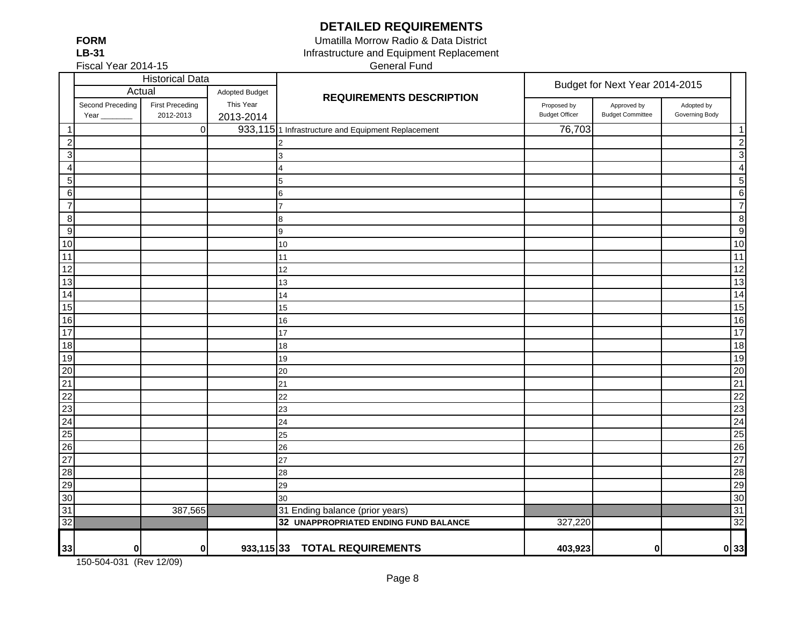**DETAILED REQUIREMENTS**

**FORMLB-31**

Fiscal Year 2014-15

General Fund Umatilla Morrow Radio & Data District Infrastructure and Equipment Replacement

|                  | <b>Historical Data</b>   |                                     |                        |                                                   | Budget for Next Year 2014-2015       |                                        |                              |                          |
|------------------|--------------------------|-------------------------------------|------------------------|---------------------------------------------------|--------------------------------------|----------------------------------------|------------------------------|--------------------------|
|                  |                          | Actual<br>Adopted Budget            |                        | <b>REQUIREMENTS DESCRIPTION</b>                   |                                      |                                        |                              |                          |
|                  | Second Preceding<br>Year | <b>First Preceding</b><br>2012-2013 | This Year<br>2013-2014 |                                                   | Proposed by<br><b>Budget Officer</b> | Approved by<br><b>Budget Committee</b> | Adopted by<br>Governing Body |                          |
| $\mathbf{1}$     |                          | $\boldsymbol{0}$                    |                        | 933,1151 Infrastructure and Equipment Replacement | 76,703                               |                                        |                              | $\overline{\mathbf{1}}$  |
| $\overline{2}$   |                          |                                     |                        | $\mathcal{P}$                                     |                                      |                                        |                              | $\overline{c}$           |
| 3 <sup>l</sup>   |                          |                                     |                        | 3                                                 |                                      |                                        |                              | 3                        |
| $\overline{4}$   |                          |                                     |                        | 4                                                 |                                      |                                        |                              | $\overline{\mathcal{A}}$ |
| 5 <sub>l</sub>   |                          |                                     |                        | 5                                                 |                                      |                                        |                              | 5                        |
| $6 \overline{6}$ |                          |                                     |                        | $6\phantom{.0}$                                   |                                      |                                        |                              | 6                        |
| $\overline{7}$   |                          |                                     |                        | $\overline{7}$                                    |                                      |                                        |                              | $\overline{7}$           |
| $\bf 8$          |                          |                                     |                        | 8                                                 |                                      |                                        |                              | 8                        |
| $\overline{9}$   |                          |                                     |                        | 9                                                 |                                      |                                        |                              | g                        |
| 10               |                          |                                     |                        | 10                                                |                                      |                                        |                              | 10                       |
| 11               |                          |                                     |                        | 11                                                |                                      |                                        |                              | 11                       |
| 12               |                          |                                     |                        | 12                                                |                                      |                                        |                              | $\overline{12}$          |
| $\overline{13}$  |                          |                                     |                        | 13                                                |                                      |                                        |                              | 13                       |
| $\frac{1}{14}$   |                          |                                     |                        | 14                                                |                                      |                                        |                              | 14                       |
| $\overline{15}$  |                          |                                     |                        | 15                                                |                                      |                                        |                              | 15                       |
| 16               |                          |                                     |                        | 16                                                |                                      |                                        |                              | 16                       |
| 17               |                          |                                     |                        | 17                                                |                                      |                                        |                              | 17                       |
| $\frac{1}{8}$    |                          |                                     |                        | 18                                                |                                      |                                        |                              | 18                       |
| 19               |                          |                                     |                        | 19                                                |                                      |                                        |                              | 19                       |
| 20               |                          |                                     |                        | 20                                                |                                      |                                        |                              | 20                       |
| $\overline{21}$  |                          |                                     |                        | 21                                                |                                      |                                        |                              | 21                       |
| $\overline{22}$  |                          |                                     |                        | 22                                                |                                      |                                        |                              | 22                       |
| 23               |                          |                                     |                        | 23                                                |                                      |                                        |                              | 23                       |
| $\overline{24}$  |                          |                                     |                        | 24                                                |                                      |                                        |                              | 24                       |
| $\overline{25}$  |                          |                                     |                        | 25                                                |                                      |                                        |                              | 25                       |
| $\overline{26}$  |                          |                                     |                        | 26                                                |                                      |                                        |                              | 26                       |
| $\overline{27}$  |                          |                                     |                        | 27                                                |                                      |                                        |                              | 27                       |
| 28               |                          |                                     |                        | 28                                                |                                      |                                        |                              | 28                       |
| 29               |                          |                                     |                        | 29                                                |                                      |                                        |                              | 29                       |
| 30               |                          |                                     |                        | 30                                                |                                      |                                        |                              | 30                       |
| 31               |                          | 387,565                             |                        | 31 Ending balance (prior years)                   |                                      |                                        |                              | 31                       |
| $\overline{32}$  |                          |                                     |                        | 32 UNAPPROPRIATED ENDING FUND BALANCE             | 327,220                              |                                        |                              | 32                       |
| 33               | 0                        | 0                                   | $933,115$ 33           | <b>TOTAL REQUIREMENTS</b>                         | 403,923                              | 0                                      |                              | 0 33                     |